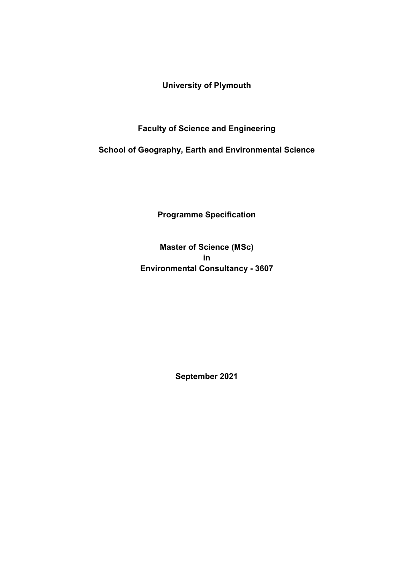**University of Plymouth**

**Faculty of Science and Engineering**

**School of Geography, Earth and Environmental Science**

**Programme Specification**

**Master of Science (MSc) in Environmental Consultancy - 3607**

**September 2021**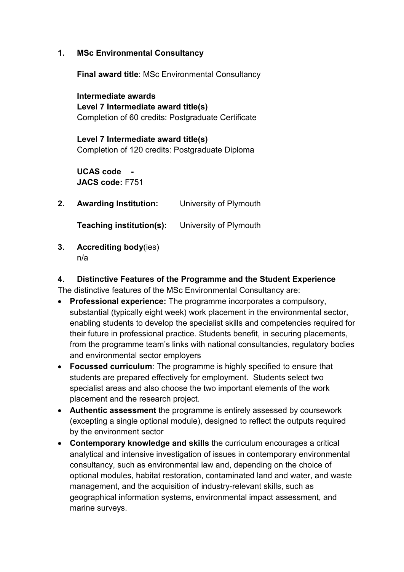**1. MSc Environmental Consultancy**

**Final award title**: MSc Environmental Consultancy

**Intermediate awards Level 7 Intermediate award title(s)** Completion of 60 credits: Postgraduate Certificate

**Level 7 Intermediate award title(s)** Completion of 120 credits: Postgraduate Diploma

**UCAS code - JACS code:** F751

**2. Awarding Institution:** University of Plymouth

**Teaching institution(s):** University of Plymouth

**3. Accrediting body**(ies) n/a

#### **4. Distinctive Features of the Programme and the Student Experience** The distinctive features of the MSc Environmental Consultancy are:

- **Professional experience:** The programme incorporates a compulsory, substantial (typically eight week) work placement in the environmental sector, enabling students to develop the specialist skills and competencies required for their future in professional practice. Students benefit, in securing placements, from the programme team's links with national consultancies, regulatory bodies and environmental sector employers
- **Focussed curriculum**: The programme is highly specified to ensure that students are prepared effectively for employment. Students select two specialist areas and also choose the two important elements of the work placement and the research project.
- **Authentic assessment** the programme is entirely assessed by coursework (excepting a single optional module), designed to reflect the outputs required by the environment sector
- **Contemporary knowledge and skills** the curriculum encourages a critical analytical and intensive investigation of issues in contemporary environmental consultancy, such as environmental law and, depending on the choice of optional modules, habitat restoration, contaminated land and water, and waste management, and the acquisition of industry-relevant skills, such as geographical information systems, environmental impact assessment, and marine surveys.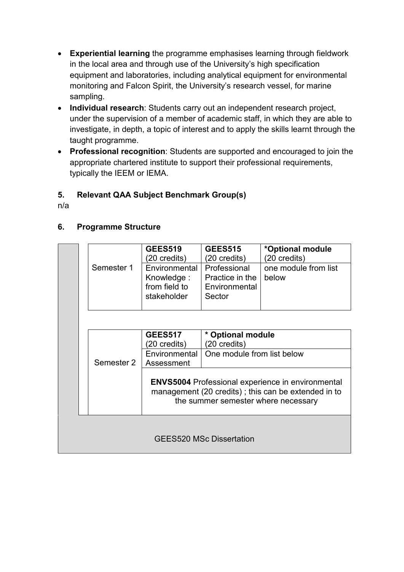- **Experiential learning** the programme emphasises learning through fieldwork in the local area and through use of the University's high specification equipment and laboratories, including analytical equipment for environmental monitoring and Falcon Spirit, the University's research vessel, for marine sampling.
- **Individual research**: Students carry out an independent research project, under the supervision of a member of academic staff, in which they are able to investigate, in depth, a topic of interest and to apply the skills learnt through the taught programme.
- **Professional recognition**: Students are supported and encouraged to join the appropriate chartered institute to support their professional requirements, typically the IEEM or IEMA.

## **5. Relevant QAA Subject Benchmark Group(s)**

n/a

#### **6. Programme Structure**

|                                 | Semester 1 | <b>GEES519</b><br>(20 credits)<br>Environmental                                                                                                        | <b>GEES515</b><br>(20 credits)<br>Professional | *Optional module<br>(20 credits)<br>one module from list |  |
|---------------------------------|------------|--------------------------------------------------------------------------------------------------------------------------------------------------------|------------------------------------------------|----------------------------------------------------------|--|
|                                 |            | Knowledge:<br>from field to<br>stakeholder                                                                                                             | Practice in the<br>Environmental<br>Sector     | below                                                    |  |
|                                 |            |                                                                                                                                                        |                                                |                                                          |  |
|                                 |            | <b>GEES517</b>                                                                                                                                         | * Optional module                              |                                                          |  |
| (20 credits)<br>(20 credits)    |            |                                                                                                                                                        |                                                |                                                          |  |
|                                 |            | Environmental                                                                                                                                          | One module from list below                     |                                                          |  |
|                                 | Semester 2 | Assessment                                                                                                                                             |                                                |                                                          |  |
|                                 |            | <b>ENVS5004 Professional experience in environmental</b><br>management (20 credits); this can be extended in to<br>the summer semester where necessary |                                                |                                                          |  |
| <b>GEES520 MSc Dissertation</b> |            |                                                                                                                                                        |                                                |                                                          |  |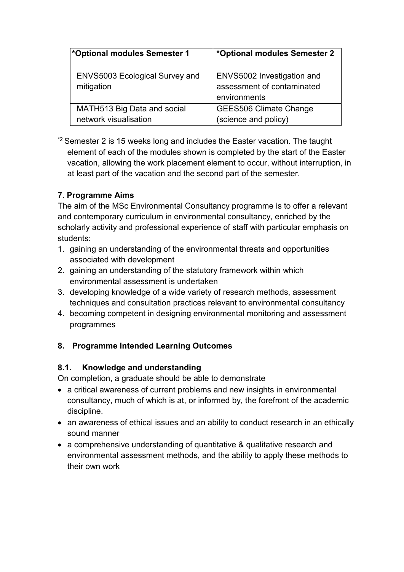| *Optional modules Semester 1                         | *Optional modules Semester 2                                             |
|------------------------------------------------------|--------------------------------------------------------------------------|
| <b>ENVS5003 Ecological Survey and</b><br>mitigation  | ENVS5002 Investigation and<br>assessment of contaminated<br>environments |
| MATH513 Big Data and social<br>network visualisation | <b>GEES506 Climate Change</b><br>(science and policy)                    |

 $*$ <sup>2</sup> Semester 2 is 15 weeks long and includes the Easter vacation. The taught element of each of the modules shown is completed by the start of the Easter vacation, allowing the work placement element to occur, without interruption, in at least part of the vacation and the second part of the semester.

## **7. Programme Aims**

The aim of the MSc Environmental Consultancy programme is to offer a relevant and contemporary curriculum in environmental consultancy, enriched by the scholarly activity and professional experience of staff with particular emphasis on students:

- 1. gaining an understanding of the environmental threats and opportunities associated with development
- 2. gaining an understanding of the statutory framework within which environmental assessment is undertaken
- 3. developing knowledge of a wide variety of research methods, assessment techniques and consultation practices relevant to environmental consultancy
- 4. becoming competent in designing environmental monitoring and assessment programmes

## **8. Programme Intended Learning Outcomes**

## **8.1. Knowledge and understanding**

On completion, a graduate should be able to demonstrate

- a critical awareness of current problems and new insights in environmental consultancy, much of which is at, or informed by, the forefront of the academic discipline.
- an awareness of ethical issues and an ability to conduct research in an ethically sound manner
- a comprehensive understanding of quantitative & qualitative research and environmental assessment methods, and the ability to apply these methods to their own work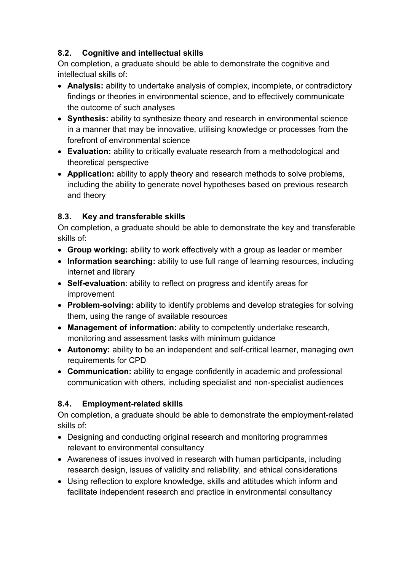## **8.2. Cognitive and intellectual skills**

On completion, a graduate should be able to demonstrate the cognitive and intellectual skills of:

- **Analysis:** ability to undertake analysis of complex, incomplete, or contradictory findings or theories in environmental science, and to effectively communicate the outcome of such analyses
- **Synthesis:** ability to synthesize theory and research in environmental science in a manner that may be innovative, utilising knowledge or processes from the forefront of environmental science
- **Evaluation:** ability to critically evaluate research from a methodological and theoretical perspective
- **Application:** ability to apply theory and research methods to solve problems, including the ability to generate novel hypotheses based on previous research and theory

# **8.3. Key and transferable skills**

On completion, a graduate should be able to demonstrate the key and transferable skills of:

- **Group working:** ability to work effectively with a group as leader or member
- **Information searching:** ability to use full range of learning resources, including internet and library
- **Self-evaluation**: ability to reflect on progress and identify areas for improvement
- **Problem-solving:** ability to identify problems and develop strategies for solving them, using the range of available resources
- **Management of information:** ability to competently undertake research, monitoring and assessment tasks with minimum guidance
- **Autonomy:** ability to be an independent and self-critical learner, managing own requirements for CPD
- **Communication:** ability to engage confidently in academic and professional communication with others, including specialist and non-specialist audiences

# **8.4. Employment-related skills**

On completion, a graduate should be able to demonstrate the employment-related skills of:

- Designing and conducting original research and monitoring programmes relevant to environmental consultancy
- Awareness of issues involved in research with human participants, including research design, issues of validity and reliability, and ethical considerations
- Using reflection to explore knowledge, skills and attitudes which inform and facilitate independent research and practice in environmental consultancy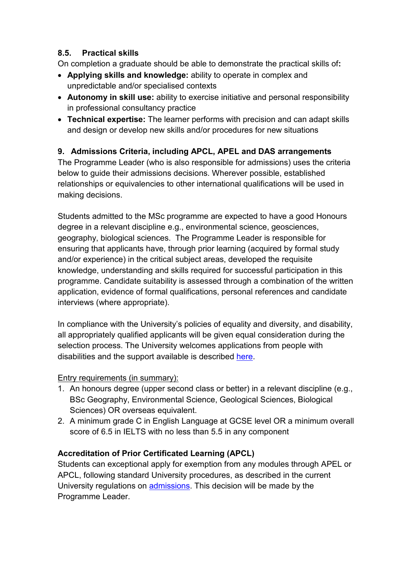## **8.5. Practical skills**

On completion a graduate should be able to demonstrate the practical skills of**:** 

- **Applying skills and knowledge:** ability to operate in complex and unpredictable and/or specialised contexts
- **Autonomy in skill use:** ability to exercise initiative and personal responsibility in professional consultancy practice
- **Technical expertise:** The learner performs with precision and can adapt skills and design or develop new skills and/or procedures for new situations

## **9. Admissions Criteria, including APCL, APEL and DAS arrangements**

The Programme Leader (who is also responsible for admissions) uses the criteria below to guide their admissions decisions. Wherever possible, established relationships or equivalencies to other international qualifications will be used in making decisions.

Students admitted to the MSc programme are expected to have a good Honours degree in a relevant discipline e.g., environmental science, geosciences, geography, biological sciences. The Programme Leader is responsible for ensuring that applicants have, through prior learning (acquired by formal study and/or experience) in the critical subject areas, developed the requisite knowledge, understanding and skills required for successful participation in this programme. Candidate suitability is assessed through a combination of the written application, evidence of formal qualifications, personal references and candidate interviews (where appropriate).

In compliance with the University's policies of equality and diversity, and disability, all appropriately qualified applicants will be given equal consideration during the selection process. The University welcomes applications from people with disabilities and the support available is described [here.](https://www.plymouth.ac.uk/student-life/services/learning-gateway/disability-and-dyslexia)

#### Entry requirements (in summary):

- 1. An honours degree (upper second class or better) in a relevant discipline (e.g., BSc Geography, Environmental Science, Geological Sciences, Biological Sciences) OR overseas equivalent.
- 2. A minimum grade C in English Language at GCSE level OR a minimum overall score of 6.5 in IELTS with no less than 5.5 in any component

## **Accreditation of Prior Certificated Learning (APCL)**

Students can exceptional apply for exemption from any modules through APEL or APCL, following standard University procedures, as described in the current University regulations on [admissions.](https://www.plymouth.ac.uk/student-life/your-studies/essential-information/regulations) This decision will be made by the Programme Leader.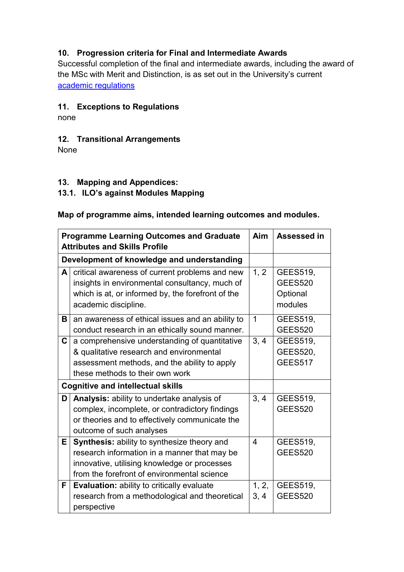## **10. Progression criteria for Final and Intermediate Awards**

Successful completion of the final and intermediate awards, including the award of the MSc with Merit and Distinction, is as set out in the University's current [academic regulations](https://www.plymouth.ac.uk/student-life/your-studies/essential-information/regulations)

#### **11. Exceptions to Regulations**

none

## **12. Transitional Arrangements**

None

#### **13. Mapping and Appendices:**

#### **13.1. ILO's against Modules Mapping**

#### **Map of programme aims, intended learning outcomes and modules.**

|    | <b>Programme Learning Outcomes and Graduate</b><br><b>Aim</b><br><b>Assessed in</b><br><b>Attributes and Skills Profile</b> |                |                 |  |  |
|----|-----------------------------------------------------------------------------------------------------------------------------|----------------|-----------------|--|--|
|    | Development of knowledge and understanding                                                                                  |                |                 |  |  |
| A  | critical awareness of current problems and new                                                                              | 1, 2           | <b>GEES519,</b> |  |  |
|    | insights in environmental consultancy, much of                                                                              |                | <b>GEES520</b>  |  |  |
|    | which is at, or informed by, the forefront of the                                                                           |                | Optional        |  |  |
|    | academic discipline.                                                                                                        |                | modules         |  |  |
| B  | an awareness of ethical issues and an ability to                                                                            | $\mathbf 1$    | GEES519,        |  |  |
|    | conduct research in an ethically sound manner.                                                                              |                | <b>GEES520</b>  |  |  |
| C  | a comprehensive understanding of quantitative                                                                               | 3, 4           | GEES519,        |  |  |
|    | & qualitative research and environmental                                                                                    |                | GEES520,        |  |  |
|    | assessment methods, and the ability to apply                                                                                |                | <b>GEES517</b>  |  |  |
|    | these methods to their own work                                                                                             |                |                 |  |  |
|    | <b>Cognitive and intellectual skills</b>                                                                                    |                |                 |  |  |
| D  | Analysis: ability to undertake analysis of                                                                                  | 3, 4           | <b>GEES519,</b> |  |  |
|    | complex, incomplete, or contradictory findings                                                                              |                | <b>GEES520</b>  |  |  |
|    | or theories and to effectively communicate the                                                                              |                |                 |  |  |
|    | outcome of such analyses                                                                                                    |                |                 |  |  |
| E. | <b>Synthesis:</b> ability to synthesize theory and                                                                          | $\overline{4}$ | <b>GEES519,</b> |  |  |
|    | research information in a manner that may be                                                                                |                | <b>GEES520</b>  |  |  |
|    | innovative, utilising knowledge or processes                                                                                |                |                 |  |  |
|    | from the forefront of environmental science                                                                                 |                |                 |  |  |
| F. | <b>Evaluation:</b> ability to critically evaluate                                                                           | 1, 2,          | GEES519,        |  |  |
|    | research from a methodological and theoretical                                                                              | 3, 4           | <b>GEES520</b>  |  |  |
|    | perspective                                                                                                                 |                |                 |  |  |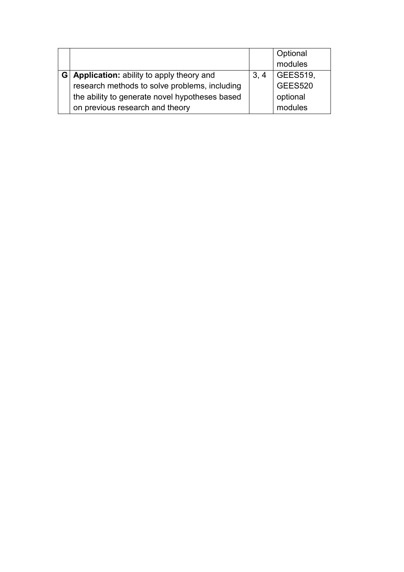|   |                                                 |      | Optional        |
|---|-------------------------------------------------|------|-----------------|
|   |                                                 |      | modules         |
| G | <b>Application:</b> ability to apply theory and | 3, 4 | <b>GEES519,</b> |
|   | research methods to solve problems, including   |      | <b>GEES520</b>  |
|   | the ability to generate novel hypotheses based  |      | optional        |
|   | on previous research and theory                 |      | modules         |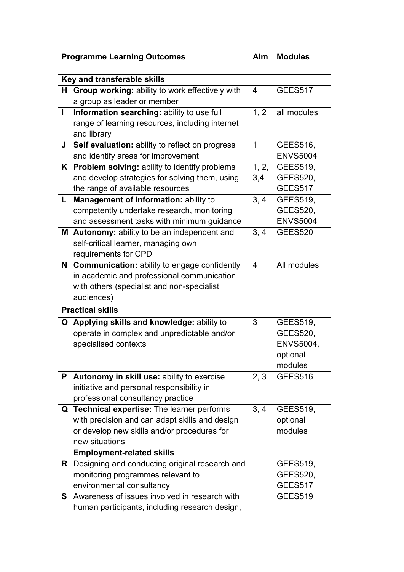| <b>Programme Learning Outcomes</b> |                                                                                | Aim            | <b>Modules</b>  |  |  |  |  |
|------------------------------------|--------------------------------------------------------------------------------|----------------|-----------------|--|--|--|--|
| Key and transferable skills        |                                                                                |                |                 |  |  |  |  |
|                                    |                                                                                |                |                 |  |  |  |  |
| H                                  | Group working: ability to work effectively with<br>a group as leader or member | $\overline{4}$ | <b>GEES517</b>  |  |  |  |  |
| $\mathbf{I}$                       | Information searching: ability to use full                                     | 1, 2           | all modules     |  |  |  |  |
|                                    | range of learning resources, including internet                                |                |                 |  |  |  |  |
|                                    | and library                                                                    |                |                 |  |  |  |  |
| J                                  | Self evaluation: ability to reflect on progress                                | $\mathbf 1$    | GEES516,        |  |  |  |  |
|                                    | and identify areas for improvement                                             |                | <b>ENVS5004</b> |  |  |  |  |
| K                                  | <b>Problem solving: ability to identify problems</b>                           | 1, 2,          | <b>GEES519,</b> |  |  |  |  |
|                                    | and develop strategies for solving them, using                                 | 3,4            | <b>GEES520,</b> |  |  |  |  |
|                                    | the range of available resources                                               |                | <b>GEES517</b>  |  |  |  |  |
| L                                  | Management of information: ability to                                          | 3, 4           | <b>GEES519,</b> |  |  |  |  |
|                                    | competently undertake research, monitoring                                     |                | <b>GEES520,</b> |  |  |  |  |
|                                    | and assessment tasks with minimum guidance                                     |                | <b>ENVS5004</b> |  |  |  |  |
| M                                  | Autonomy: ability to be an independent and                                     | 3, 4           | <b>GEES520</b>  |  |  |  |  |
|                                    | self-critical learner, managing own                                            |                |                 |  |  |  |  |
|                                    | requirements for CPD                                                           |                |                 |  |  |  |  |
| N                                  | <b>Communication:</b> ability to engage confidently                            | $\overline{4}$ | All modules     |  |  |  |  |
|                                    | in academic and professional communication                                     |                |                 |  |  |  |  |
|                                    | with others (specialist and non-specialist                                     |                |                 |  |  |  |  |
|                                    | audiences)                                                                     |                |                 |  |  |  |  |
|                                    | <b>Practical skills</b>                                                        |                |                 |  |  |  |  |
| $\mathbf O$                        | Applying skills and knowledge: ability to                                      | 3              | GEES519,        |  |  |  |  |
|                                    | operate in complex and unpredictable and/or                                    |                | <b>GEES520,</b> |  |  |  |  |
|                                    | specialised contexts                                                           |                | ENVS5004,       |  |  |  |  |
|                                    |                                                                                |                | optional        |  |  |  |  |
|                                    |                                                                                |                |                 |  |  |  |  |
|                                    |                                                                                |                | modules         |  |  |  |  |
| P                                  | Autonomy in skill use: ability to exercise                                     | 2, 3           | <b>GEES516</b>  |  |  |  |  |
|                                    | initiative and personal responsibility in                                      |                |                 |  |  |  |  |
|                                    | professional consultancy practice                                              |                |                 |  |  |  |  |
| Q                                  | Technical expertise: The learner performs                                      | 3, 4           | <b>GEES519,</b> |  |  |  |  |
|                                    | with precision and can adapt skills and design                                 |                | optional        |  |  |  |  |
|                                    | or develop new skills and/or procedures for                                    |                | modules         |  |  |  |  |
|                                    | new situations                                                                 |                |                 |  |  |  |  |
|                                    | <b>Employment-related skills</b>                                               |                |                 |  |  |  |  |
| R                                  | Designing and conducting original research and                                 |                | GEES519,        |  |  |  |  |
|                                    | monitoring programmes relevant to                                              |                | <b>GEES520,</b> |  |  |  |  |
|                                    | environmental consultancy                                                      |                | <b>GEES517</b>  |  |  |  |  |
| S                                  | Awareness of issues involved in research with                                  |                | <b>GEES519</b>  |  |  |  |  |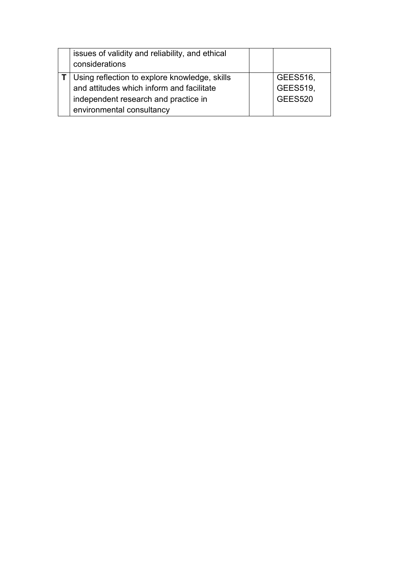| issues of validity and reliability, and ethical<br>considerations |  |                 |
|-------------------------------------------------------------------|--|-----------------|
| Using reflection to explore knowledge, skills                     |  | GEES516,        |
| and attitudes which inform and facilitate                         |  | <b>GEES519,</b> |
| independent research and practice in                              |  | <b>GEES520</b>  |
| environmental consultancy                                         |  |                 |